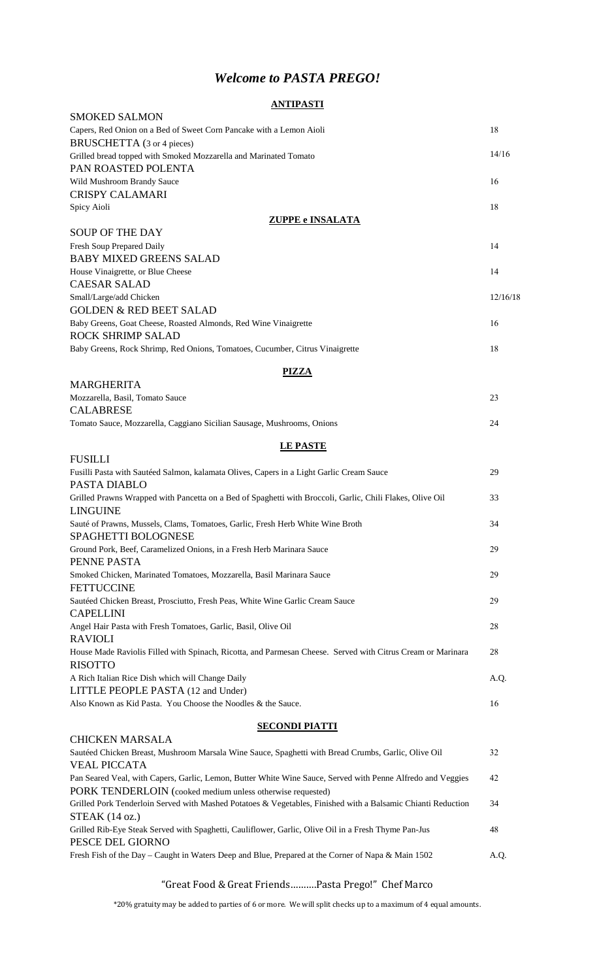## *Welcome to PASTA PREGO!*

### **ANTIPASTI**

| <b>SMOKED SALMON</b>                                                                                                     |          |
|--------------------------------------------------------------------------------------------------------------------------|----------|
| Capers, Red Onion on a Bed of Sweet Corn Pancake with a Lemon Aioli                                                      | 18       |
| BRUSCHETTA (3 or 4 pieces)                                                                                               |          |
| Grilled bread topped with Smoked Mozzarella and Marinated Tomato                                                         | 14/16    |
| PAN ROASTED POLENTA                                                                                                      |          |
| Wild Mushroom Brandy Sauce<br><b>CRISPY CALAMARI</b>                                                                     | 16       |
| Spicy Aioli                                                                                                              | 18       |
| <b>ZUPPE e INSALATA</b>                                                                                                  |          |
| <b>SOUP OF THE DAY</b>                                                                                                   |          |
| Fresh Soup Prepared Daily                                                                                                | 14       |
| <b>BABY MIXED GREENS SALAD</b>                                                                                           |          |
| House Vinaigrette, or Blue Cheese                                                                                        | 14       |
| <b>CAESAR SALAD</b>                                                                                                      |          |
| Small/Large/add Chicken                                                                                                  | 12/16/18 |
| <b>GOLDEN &amp; RED BEET SALAD</b>                                                                                       |          |
| Baby Greens, Goat Cheese, Roasted Almonds, Red Wine Vinaigrette<br><b>ROCK SHRIMP SALAD</b>                              | 16       |
| Baby Greens, Rock Shrimp, Red Onions, Tomatoes, Cucumber, Citrus Vinaigrette                                             | 18       |
|                                                                                                                          |          |
| <b>PIZZA</b>                                                                                                             |          |
| <b>MARGHERITA</b>                                                                                                        |          |
| Mozzarella, Basil, Tomato Sauce                                                                                          | 23       |
| <b>CALABRESE</b>                                                                                                         |          |
| Tomato Sauce, Mozzarella, Caggiano Sicilian Sausage, Mushrooms, Onions                                                   | 24       |
| <b>LE PASTE</b>                                                                                                          |          |
| <b>FUSILLI</b>                                                                                                           |          |
| Fusilli Pasta with Sautéed Salmon, kalamata Olives, Capers in a Light Garlic Cream Sauce                                 | 29       |
| PASTA DIABLO                                                                                                             |          |
| Grilled Prawns Wrapped with Pancetta on a Bed of Spaghetti with Broccoli, Garlic, Chili Flakes, Olive Oil                | 33       |
| <b>LINGUINE</b>                                                                                                          |          |
| Sauté of Prawns, Mussels, Clams, Tomatoes, Garlic, Fresh Herb White Wine Broth                                           | 34       |
| SPAGHETTI BOLOGNESE                                                                                                      |          |
| Ground Pork, Beef, Caramelized Onions, in a Fresh Herb Marinara Sauce                                                    | 29       |
| PENNE PASTA                                                                                                              |          |
| Smoked Chicken, Marinated Tomatoes, Mozzarella, Basil Marinara Sauce<br><b>FETTUCCINE</b>                                | 29       |
| Sautéed Chicken Breast, Prosciutto, Fresh Peas, White Wine Garlic Cream Sauce                                            | 29       |
| <b>CAPELLINI</b>                                                                                                         |          |
| Angel Hair Pasta with Fresh Tomatoes, Garlic, Basil, Olive Oil                                                           | 28       |
| <b>RAVIOLI</b>                                                                                                           |          |
| House Made Raviolis Filled with Spinach, Ricotta, and Parmesan Cheese. Served with Citrus Cream or Marinara              | 28       |
| <b>RISOTTO</b>                                                                                                           |          |
| A Rich Italian Rice Dish which will Change Daily                                                                         | A.Q.     |
| LITTLE PEOPLE PASTA (12 and Under)                                                                                       |          |
| Also Known as Kid Pasta. You Choose the Noodles & the Sauce.                                                             | 16       |
| <b>SECONDI PIATTI</b>                                                                                                    |          |
| <b>CHICKEN MARSALA</b>                                                                                                   |          |
| Sautéed Chicken Breast, Mushroom Marsala Wine Sauce, Spaghetti with Bread Crumbs, Garlic, Olive Oil                      | 32       |
| <b>VEAL PICCATA</b>                                                                                                      |          |
| Pan Seared Veal, with Capers, Garlic, Lemon, Butter White Wine Sauce, Served with Penne Alfredo and Veggies              | 42       |
| PORK TENDERLOIN (cooked medium unless otherwise requested)                                                               |          |
| Grilled Pork Tenderloin Served with Mashed Potatoes & Vegetables, Finished with a Balsamic Chianti Reduction             | 34       |
| STEAK (14 oz.)                                                                                                           |          |
| Grilled Rib-Eye Steak Served with Spaghetti, Cauliflower, Garlic, Olive Oil in a Fresh Thyme Pan-Jus<br>PESCE DEL GIORNO | 48       |

Fresh Fish of the Day – Caught in Waters Deep and Blue, Prepared at the Corner of Napa & Main 1502 A.Q.

#### "Great Food & Great Friends……….Pasta Prego!" Chef Marco

\*20% gratuity may be added to parties of 6 or more. We will split checks up to a maximum of 4 equal amounts.